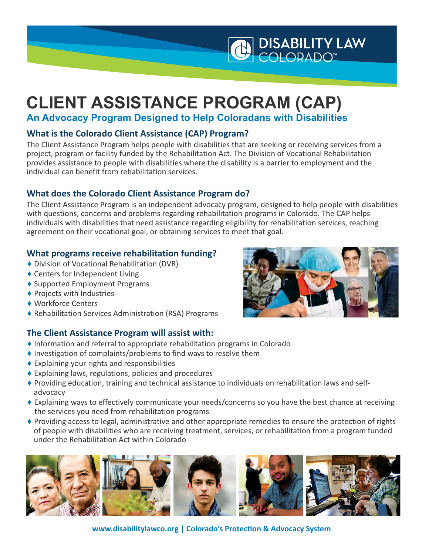<span id="page-0-0"></span>

# **CLIENT ASSISTANCE PROGRAM (CAP)**

**An Advocacy Program Designed to Help Coloradans with Disabilities**

# **What is the Colorado Client Assistance (CAP) Program?**

The Client Assistance Program helps people with disabilities that are seeking or receiving services from a project, program or facility funded by the Rehabilitation Act. The Division of Vocational Rehabilitation provides assistance to people with disabilities where the disability is a barrier to employment and the individual can benefit from rehabilitation services.

## **What does the Colorado Client Assistance Program do?**

The Client Assistance Program is an independent advocacy program, designed to help people with disabilities with questions, concerns and problems regarding rehabilitation programs in Colorado. The CAP helps individuals with disabilities that need assistance regarding eligibility for rehabilitation services, reaching agreement on their vocational goal, or obtaining services to meet that goal.

### **What programs receive rehabilitation funding?**

- ♦ Division of Vocational Rehabilitation (DVR)
- ♦ Centers for Independent Living
- ♦ Supported Employment Programs
- ♦ Projects with Industries
- ♦ Workforce Centers
- ♦ Rehabilitation Services Administration (RSA) Programs

# **The Client Assistance Program will assist with:**

- ♦ Information and referral to appropriate rehabilitation programs in Colorado
- ♦ Investigation of complaints/problems to find ways to resolve them
- $\triangle$  Explaining your rights and responsibilities
- $\triangle$  Explaining laws, regulations, policies and procedures
- ♦ Providing education, training and technical assistance to individuals on rehabilitation laws and selfadvocacy
- ♦ Explaining ways to effectively communicate your needs/concerns so you have the best chance at receiving the services you need from rehabilitation programs
- ♦ Providing access to legal, administrative and other appropriate remedies to ensure the protection of rights of people with disabilities who are receiving treatment, services, or rehabilitation from a program funded under the Rehabilitation Act within Colorado



**www.disabilitylawco.org | Colorado's Protection & Advocacy System**